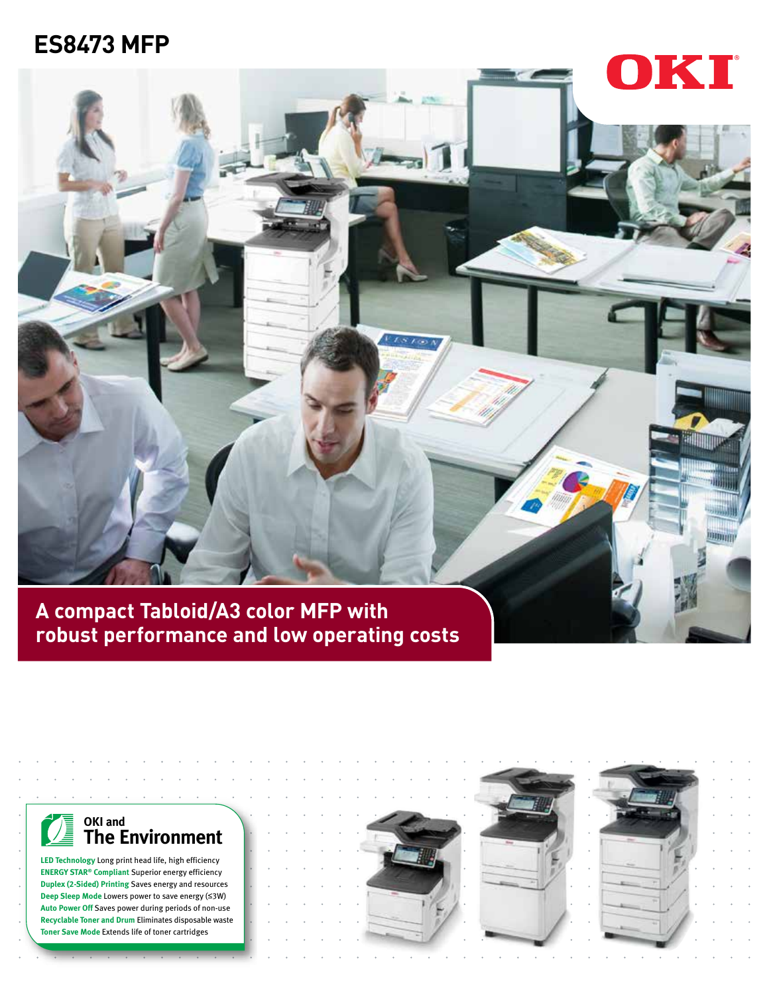# **ES8473 MFP**





**LED Technology** Long print head life, high efficiency **ENERGY STAR® Compliant** Superior energy efficiency **Duplex (2-Sided) Printing** Saves energy and resources **Deep Sleep Mode** Lowers power to save energy (≤3W) **Auto Power Off** Saves power during periods of non-use **Recyclable Toner and Drum** Eliminates disposable waste **Toner Save Mode** Extends life of toner cartridges



-23



OKI

**Hillman**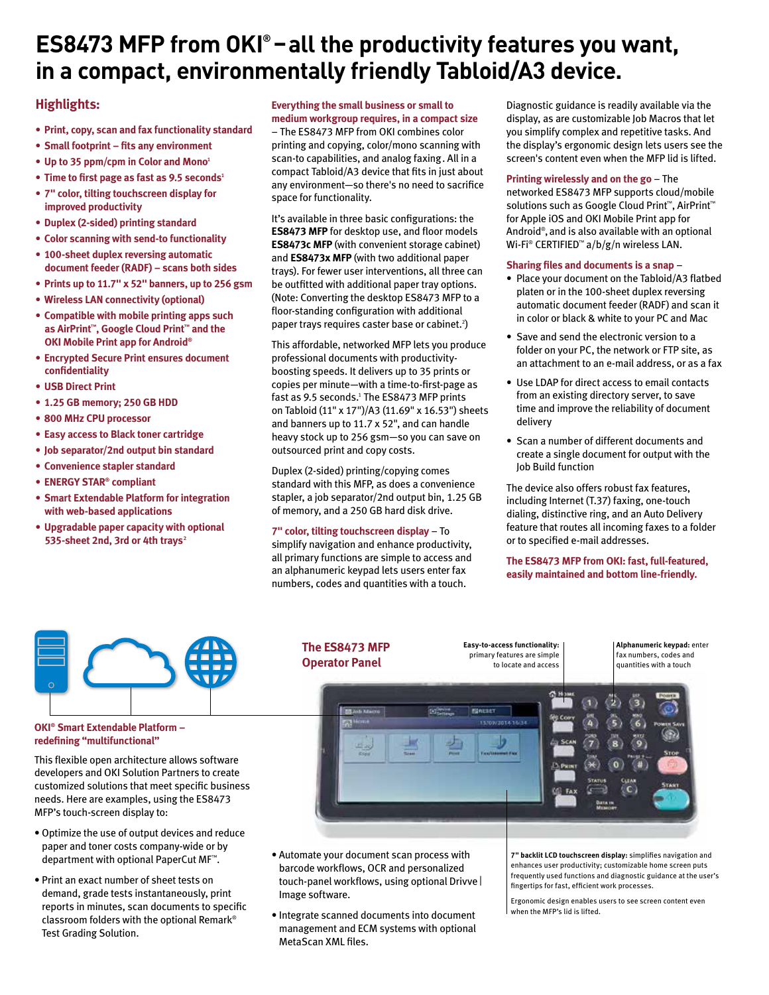# ES8473 MFP from OKI<sup>®</sup> – all the productivity features you want, **in a compact, environmentally friendly Tabloid/A3 device.**

### **Highlights:**

- **• Print, copy, scan and fax functionality standard**
- **• Small footprint fits any environment**
- **• Up to 35 ppm/cpm in Color and Mono1**
- **•** Time to first page as fast as 9.5 seconds<sup>1</sup>
- **• 7" color, tilting touchscreen display for improved productivity**
- **• Duplex (2-sided) printing standard**
- **• Color scanning with send-to functionality**
- **• 100-sheet duplex reversing automatic document feeder (RADF) – scans both sides**
- **• Prints up to 11.7" x 52" banners, up to 256 gsm**
- **• Wireless LAN connectivity (optional)**
- **• Compatible with mobile printing apps such as AirPrint™, Google Cloud Print™ and the OKI Mobile Print app for Android®**
- **• Encrypted Secure Print ensures document confidentiality**
- **• USB Direct Print**
- **• 1.25 GB memory; 250 GB HDD**
- **• 800 MHz CPU processor**
- **• Easy access to Black toner cartridge**
- **• Job separator/2nd output bin standard**
- **• Convenience stapler standard**
- **• ENERGY STAR® compliant**
- **• Smart Extendable Platform for integration with web-based applications**
- **• Upgradable paper capacity with optional 535-sheet 2nd, 3rd or 4th trays2**

## **Everything the small business or small to**

**medium workgroup requires, in a compact size**  – The ES8473 MFP from OKI combines color printing and copying, color/mono scanning with scan-to capabilities, and analog faxing. All in a compact Tabloid/A3 device that fits in just about any environment—so there's no need to sacrifice space for functionality.

It's available in three basic configurations: the **ES8473 MFP** for desktop use, and floor models **ES8473c MFP** (with convenient storage cabinet) and **ES8473x MFP** (with two additional paper trays). For fewer user interventions, all three can be outfitted with additional paper tray options. (Note: Converting the desktop ES8473 MFP to a floor-standing configuration with additional paper trays requires caster base or cabinet.<sup>2</sup>)

This affordable, networked MFP lets you produce professional documents with productivityboosting speeds. It delivers up to 35 prints or copies per minute—with a time-to-first-page as fast as 9.5 seconds.<sup>1</sup> The ES8473 MFP prints on Tabloid (11" x 17")/A3 (11.69" x 16.53") sheets and banners up to 11.7 x 52", and can handle heavy stock up to 256 gsm—so you can save on outsourced print and copy costs.

Duplex (2-sided) printing/copying comes standard with this MFP, as does a convenience stapler, a job separator/2nd output bin, 1.25 GB of memory, and a 250 GB hard disk drive.

### **7" color, tilting touchscreen display** – To

simplify navigation and enhance productivity, all primary functions are simple to access and an alphanumeric keypad lets users enter fax numbers, codes and quantities with a touch.

Diagnostic guidance is readily available via the display, as are customizable Job Macros that let you simplify complex and repetitive tasks. And the display's ergonomic design lets users see the screen's content even when the MFP lid is lifted.

#### **Printing wirelessly and on the go** – The

networked ES8473 MFP supports cloud/mobile solutions such as Google Cloud Print™, AirPrint™ for Apple iOS and OKI Mobile Print app for Android® , and is also available with an optional Wi-Fi® CERTIFIED™ a/b/g/n wireless LAN.

#### **Sharing files and documents is a snap** –

- Place your document on the Tabloid/A3 flatbed platen or in the 100-sheet duplex reversing automatic document feeder (RADF) and scan it in color or black & white to your PC and Mac
- Save and send the electronic version to a folder on your PC, the network or FTP site, as an attachment to an e-mail address, or as a fax
- Use LDAP for direct access to email contacts from an existing directory server, to save time and improve the reliability of document delivery
- Scan a number of different documents and create a single document for output with the Job Build function

The device also offers robust fax features, including Internet (T.37) faxing, one-touch dialing, distinctive ring, and an Auto Delivery feature that routes all incoming faxes to a folder or to specified e-mail addresses.

**The ES8473 MFP from OKI: fast, full-featured, easily maintained and bottom line-friendly.**



### **OKI® Smart Extendable Platform – redefining "multifunctional"**

This flexible open architecture allows software developers and OKI Solution Partners to create customized solutions that meet specific business needs. Here are examples, using the ES8473 MFP's touch-screen display to:

- Optimize the use of output devices and reduce paper and toner costs company-wide or by department with optional PaperCut MF™.
- Print an exact number of sheet tests on demand, grade tests instantaneously, print reports in minutes, scan documents to specific classroom folders with the optional Remark® Test Grading Solution.

**Easy-to-access functionality: Alphanumeric keypad:** enter **The ES8473 MFP**  primary features are simple fax numbers, codes and **Operator Panel** to locate and access quantities with a touch **BREEF ES AND ALACTO** 15/09/2014 16:34 霛 œ

- Automate your document scan process with barcode workflows, OCR and personalized touch-panel workflows, using optional Drivve I Image software.
- Integrate scanned documents into document management and ECM systems with optional MetaScan XML files.

**7" backlit LCD touchscreen display:** simplifies navigation and enhances user productivity; customizable home screen puts frequently used functions and diagnostic guidance at the user's fingertips for fast, efficient work processes.

Ergonomic design enables users to see screen content even when the MFP's lid is lifted.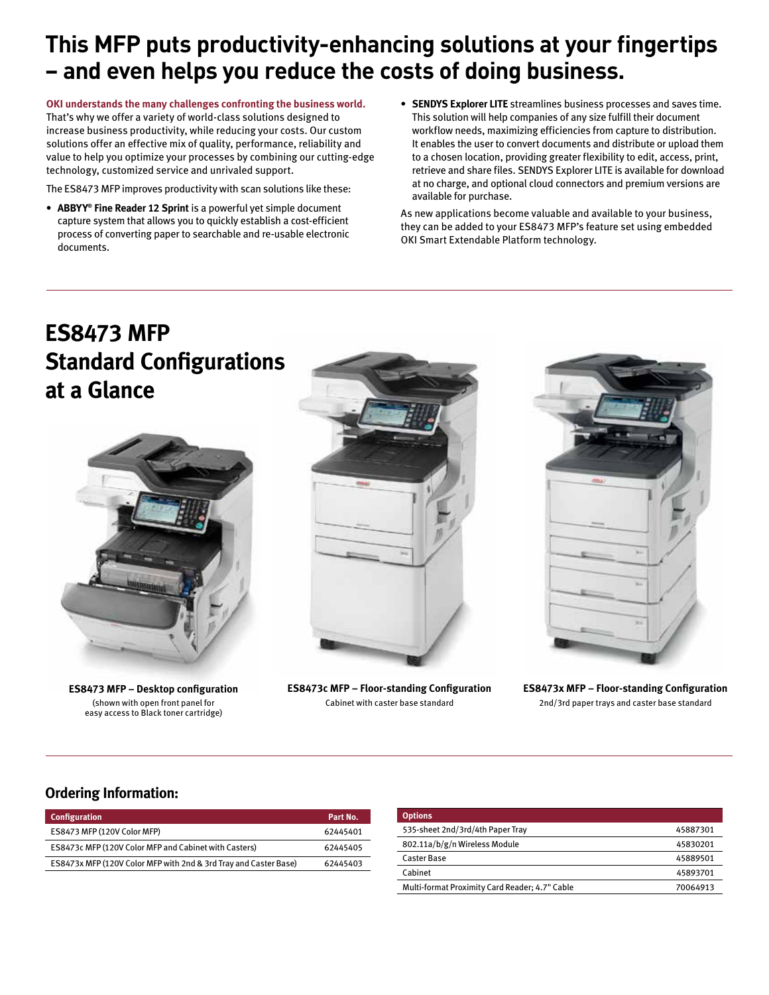# **This MFP puts productivity-enhancing solutions at your fingertips – and even helps you reduce the costs of doing business.**

**OKI understands the many challenges confronting the business world.** That's why we offer a variety of world-class solutions designed to increase business productivity, while reducing your costs. Our custom solutions offer an effective mix of quality, performance, reliability and value to help you optimize your processes by combining our cutting-edge technology, customized service and unrivaled support.

The ES8473 MFP improves productivity with scan solutions like these:

- **• ABBYY® Fine Reader 12 Sprint** is a powerful yet simple document capture system that allows you to quickly establish a cost-efficient process of converting paper to searchable and re-usable electronic documents.
- **• SENDYS Explorer LITE** streamlines business processes and saves time. This solution will help companies of any size fulfill their document workflow needs, maximizing efficiencies from capture to distribution. It enables the user to convert documents and distribute or upload them to a chosen location, providing greater flexibility to edit, access, print, retrieve and share files. SENDYS Explorer LITE is available for download at no charge, and optional cloud connectors and premium versions are available for purchase.

As new applications become valuable and available to your business, they can be added to your ES8473 MFP's feature set using embedded OKI Smart Extendable Platform technology.

# **ES8473 MFP Standard Configurations at a Glance**



**ES8473 MFP – Desktop configuration** (shown with open front panel for easy access to Black toner cartridge)



**ES8473c MFP – Floor-standing Configuration** Cabinet with caster base standard



**ES8473x MFP – Floor-standing Configuration** 2nd/3rd paper trays and caster base standard

### **Ordering Information:**

| Configuration                                                    | Part No. |
|------------------------------------------------------------------|----------|
| ES8473 MFP (120V Color MFP)                                      | 62445401 |
| ES8473c MFP (120V Color MFP and Cabinet with Casters)            | 62445405 |
| ES8473x MFP (120V Color MFP with 2nd & 3rd Tray and Caster Base) | 62445403 |

| <b>Options</b>                                 |          |
|------------------------------------------------|----------|
| 535-sheet 2nd/3rd/4th Paper Trav               | 45887301 |
| 802.11a/b/g/n Wireless Module                  | 45830201 |
| Caster Base                                    | 45889501 |
| Cabinet                                        | 45893701 |
| Multi-format Proximity Card Reader; 4.7" Cable | 70064913 |